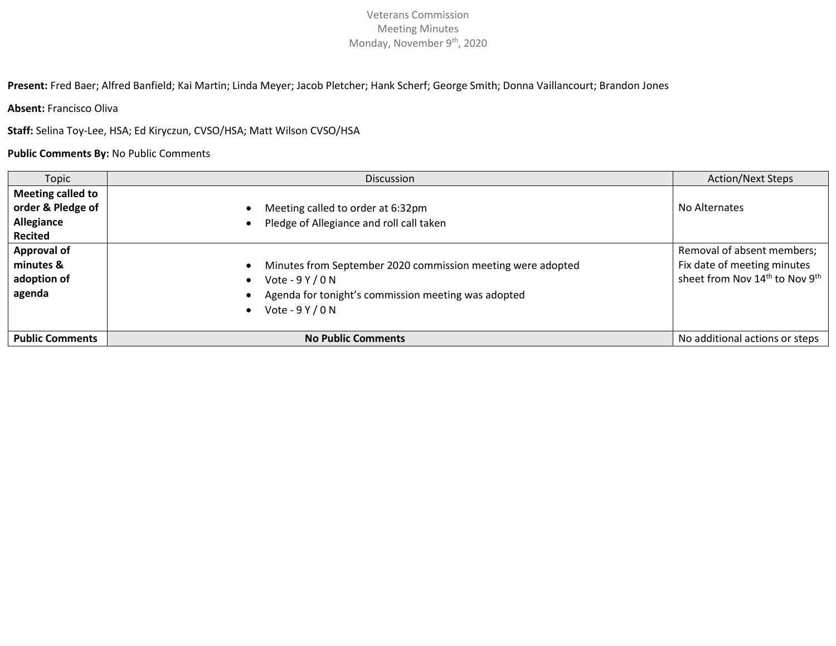**Present:** Fred Baer; Alfred Banfield; Kai Martin; Linda Meyer; Jacob Pletcher; Hank Scherf; George Smith; Donna Vaillancourt; Brandon Jones

**Absent:** Francisco Oliva

**Staff:** Selina Toy-Lee, HSA; Ed Kiryczun, CVSO/HSA; Matt Wilson CVSO/HSA

**Public Comments By:** No Public Comments

| Topic                  | <b>Discussion</b>                                           | <b>Action/Next Steps</b>                               |
|------------------------|-------------------------------------------------------------|--------------------------------------------------------|
| Meeting called to      |                                                             |                                                        |
| order & Pledge of      | Meeting called to order at 6:32pm                           | No Alternates                                          |
| Allegiance             | Pledge of Allegiance and roll call taken                    |                                                        |
| <b>Recited</b>         |                                                             |                                                        |
| <b>Approval of</b>     |                                                             | Removal of absent members;                             |
| minutes &              | Minutes from September 2020 commission meeting were adopted | Fix date of meeting minutes                            |
| adoption of            | Vote - $9$ Y / 0 N                                          | sheet from Nov 14 <sup>th</sup> to Nov 9 <sup>th</sup> |
| agenda                 | Agenda for tonight's commission meeting was adopted         |                                                        |
|                        | Vote - $9$ Y / 0 N                                          |                                                        |
|                        |                                                             |                                                        |
| <b>Public Comments</b> | <b>No Public Comments</b>                                   | No additional actions or steps                         |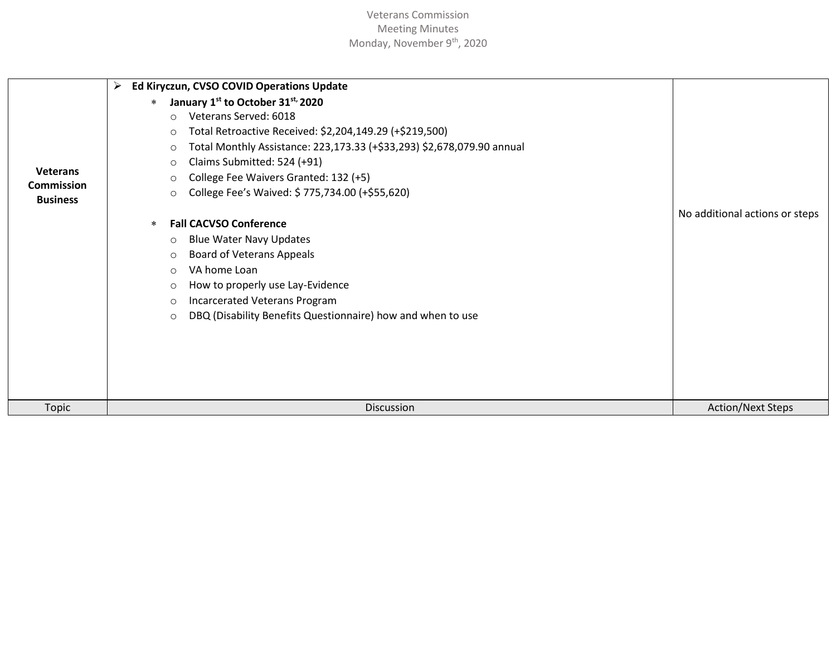|                                      | Ed Kiryczun, CVSO COVID Operations Update<br>⋗                                    |                                |
|--------------------------------------|-----------------------------------------------------------------------------------|--------------------------------|
|                                      | January 1st to October 31st, 2020<br>$\ast$                                       |                                |
|                                      | Veterans Served: 6018<br>$\circ$                                                  |                                |
|                                      | Total Retroactive Received: \$2,204,149.29 (+\$219,500)<br>O                      |                                |
|                                      | Total Monthly Assistance: 223,173.33 (+\$33,293) \$2,678,079.90 annual<br>$\circ$ |                                |
|                                      | Claims Submitted: 524 (+91)<br>O                                                  |                                |
| <b>Veterans</b><br><b>Commission</b> | College Fee Waivers Granted: 132 (+5)<br>∩                                        |                                |
| <b>Business</b>                      | College Fee's Waived: \$775,734.00 (+\$55,620)<br>∩                               |                                |
|                                      |                                                                                   | No additional actions or steps |
|                                      | <b>Fall CACVSO Conference</b><br>$*$                                              |                                |
|                                      | <b>Blue Water Navy Updates</b><br>$\circ$                                         |                                |
|                                      | <b>Board of Veterans Appeals</b><br>$\circ$                                       |                                |
|                                      | VA home Loan<br>$\circ$                                                           |                                |
|                                      | How to properly use Lay-Evidence<br>O                                             |                                |
|                                      | Incarcerated Veterans Program<br>∩                                                |                                |
|                                      | DBQ (Disability Benefits Questionnaire) how and when to use<br>$\circ$            |                                |
|                                      |                                                                                   |                                |
|                                      |                                                                                   |                                |
|                                      |                                                                                   |                                |
|                                      |                                                                                   |                                |
|                                      |                                                                                   |                                |
| Topic                                | Discussion                                                                        | <b>Action/Next Steps</b>       |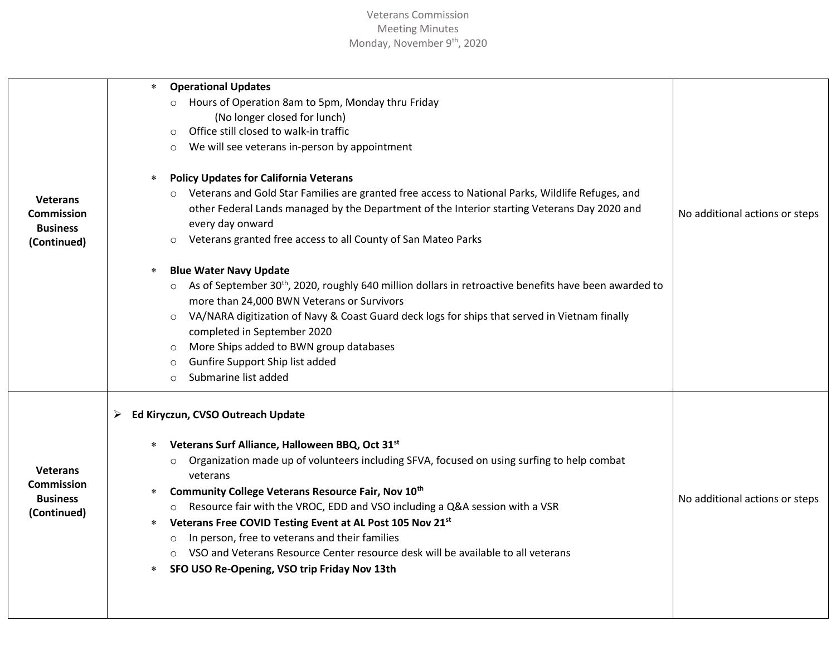| <b>Veterans</b><br>Commission                                          | <b>Operational Updates</b><br>$*$<br>Hours of Operation 8am to 5pm, Monday thru Friday<br>$\circ$<br>(No longer closed for lunch)<br>Office still closed to walk-in traffic<br>$\circ$<br>We will see veterans in-person by appointment<br>$\circ$<br><b>Policy Updates for California Veterans</b><br>*<br>o Veterans and Gold Star Families are granted free access to National Parks, Wildlife Refuges, and<br>other Federal Lands managed by the Department of the Interior starting Veterans Day 2020 and                                                                                                                                                                  | No additional actions or steps |
|------------------------------------------------------------------------|---------------------------------------------------------------------------------------------------------------------------------------------------------------------------------------------------------------------------------------------------------------------------------------------------------------------------------------------------------------------------------------------------------------------------------------------------------------------------------------------------------------------------------------------------------------------------------------------------------------------------------------------------------------------------------|--------------------------------|
| <b>Business</b><br>(Continued)                                         | every day onward<br>Veterans granted free access to all County of San Mateo Parks<br>$\circ$<br><b>Blue Water Navy Update</b><br>$\ast$<br>o As of September 30 <sup>th</sup> , 2020, roughly 640 million dollars in retroactive benefits have been awarded to<br>more than 24,000 BWN Veterans or Survivors<br>VA/NARA digitization of Navy & Coast Guard deck logs for ships that served in Vietnam finally<br>$\circ$<br>completed in September 2020<br>More Ships added to BWN group databases<br>$\circ$<br>Gunfire Support Ship list added<br>$\circ$<br>Submarine list added<br>$\circ$                                                                                  |                                |
| <b>Veterans</b><br><b>Commission</b><br><b>Business</b><br>(Continued) | Ed Kiryczun, CVSO Outreach Update<br>➤<br>Veterans Surf Alliance, Halloween BBQ, Oct 31st<br>$\ast$<br>Organization made up of volunteers including SFVA, focused on using surfing to help combat<br>$\circ$<br>veterans<br>Community College Veterans Resource Fair, Nov 10th<br>$\ast$<br>Resource fair with the VROC, EDD and VSO including a Q&A session with a VSR<br>$\circ$<br>Veterans Free COVID Testing Event at AL Post 105 Nov 21st<br>$\ast$<br>In person, free to veterans and their families<br>$\circ$<br>VSO and Veterans Resource Center resource desk will be available to all veterans<br>$\circ$<br>SFO USO Re-Opening, VSO trip Friday Nov 13th<br>$\ast$ | No additional actions or steps |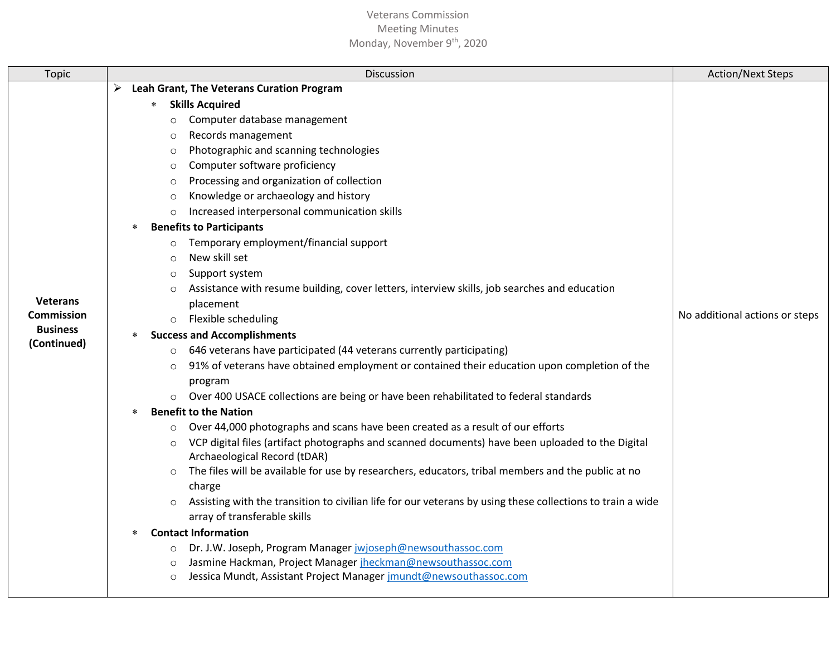| Topic                         | <b>Discussion</b>                                                                                                                                     | <b>Action/Next Steps</b>       |
|-------------------------------|-------------------------------------------------------------------------------------------------------------------------------------------------------|--------------------------------|
|                               | Leah Grant, The Veterans Curation Program<br>➤                                                                                                        |                                |
|                               | <b>Skills Acquired</b><br>$\ast$                                                                                                                      |                                |
|                               | Computer database management<br>$\circ$                                                                                                               |                                |
|                               | Records management<br>$\circ$                                                                                                                         |                                |
|                               | Photographic and scanning technologies<br>$\circ$                                                                                                     |                                |
|                               | Computer software proficiency<br>$\circ$                                                                                                              |                                |
|                               | Processing and organization of collection<br>$\circ$                                                                                                  |                                |
|                               | Knowledge or archaeology and history<br>$\circ$                                                                                                       |                                |
|                               | Increased interpersonal communication skills                                                                                                          |                                |
|                               | <b>Benefits to Participants</b><br>∗                                                                                                                  |                                |
|                               | Temporary employment/financial support<br>$\circ$                                                                                                     |                                |
|                               | New skill set<br>$\circ$                                                                                                                              |                                |
|                               | Support system<br>$\circ$                                                                                                                             |                                |
|                               | Assistance with resume building, cover letters, interview skills, job searches and education<br>$\circ$                                               |                                |
| <b>Veterans</b><br>Commission | placement                                                                                                                                             | No additional actions or steps |
| <b>Business</b>               | Flexible scheduling<br>$\circ$                                                                                                                        |                                |
| (Continued)                   | <b>Success and Accomplishments</b>                                                                                                                    |                                |
|                               | 646 veterans have participated (44 veterans currently participating)<br>$\circ$                                                                       |                                |
|                               | 91% of veterans have obtained employment or contained their education upon completion of the<br>$\circ$                                               |                                |
|                               | program                                                                                                                                               |                                |
|                               | Over 400 USACE collections are being or have been rehabilitated to federal standards                                                                  |                                |
|                               | <b>Benefit to the Nation</b>                                                                                                                          |                                |
|                               | Over 44,000 photographs and scans have been created as a result of our efforts                                                                        |                                |
|                               | VCP digital files (artifact photographs and scanned documents) have been uploaded to the Digital<br>$\circ$<br>Archaeological Record (tDAR)           |                                |
|                               | The files will be available for use by researchers, educators, tribal members and the public at no<br>$\circ$                                         |                                |
|                               | charge                                                                                                                                                |                                |
|                               | Assisting with the transition to civilian life for our veterans by using these collections to train a wide<br>$\circ$<br>array of transferable skills |                                |
|                               | <b>Contact Information</b>                                                                                                                            |                                |
|                               | Dr. J.W. Joseph, Program Manager jwjoseph@newsouthassoc.com<br>$\circ$                                                                                |                                |
|                               | Jasmine Hackman, Project Manager jheckman@newsouthassoc.com<br>$\circ$                                                                                |                                |
|                               | Jessica Mundt, Assistant Project Manager jmundt@newsouthassoc.com<br>$\circ$                                                                          |                                |
|                               |                                                                                                                                                       |                                |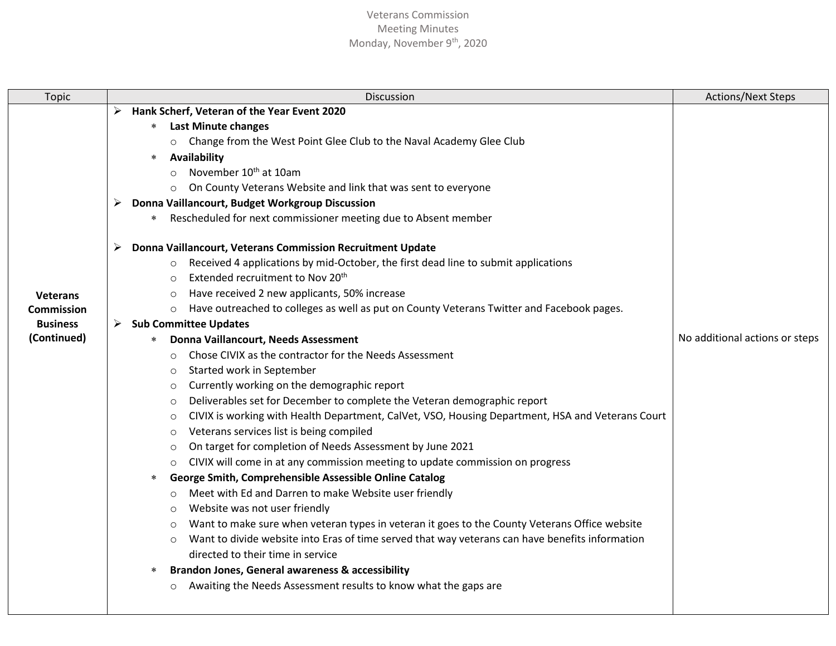| <b>Topic</b>                                                    | Discussion                                                                                                                                                                                                                                                                                                                                                                                                                                                                                                                                                                                                                                                                                                                                                                                                                                                                                                                                                                                                                                                                                                                                                                                                                                                                                                                                                                                                                                                                                                                                                                                                                                                                                                                                                                                                                                                                                                                                                                                                                                                                                      | <b>Actions/Next Steps</b>      |
|-----------------------------------------------------------------|-------------------------------------------------------------------------------------------------------------------------------------------------------------------------------------------------------------------------------------------------------------------------------------------------------------------------------------------------------------------------------------------------------------------------------------------------------------------------------------------------------------------------------------------------------------------------------------------------------------------------------------------------------------------------------------------------------------------------------------------------------------------------------------------------------------------------------------------------------------------------------------------------------------------------------------------------------------------------------------------------------------------------------------------------------------------------------------------------------------------------------------------------------------------------------------------------------------------------------------------------------------------------------------------------------------------------------------------------------------------------------------------------------------------------------------------------------------------------------------------------------------------------------------------------------------------------------------------------------------------------------------------------------------------------------------------------------------------------------------------------------------------------------------------------------------------------------------------------------------------------------------------------------------------------------------------------------------------------------------------------------------------------------------------------------------------------------------------------|--------------------------------|
| <b>Veterans</b><br>Commission<br><b>Business</b><br>(Continued) | Hank Scherf, Veteran of the Year Event 2020<br>➤<br><b>Last Minute changes</b><br>$*$<br>o Change from the West Point Glee Club to the Naval Academy Glee Club<br>Availability<br>November 10 <sup>th</sup> at 10am<br>$\circ$<br>On County Veterans Website and link that was sent to everyone<br>Donna Vaillancourt, Budget Workgroup Discussion<br>Rescheduled for next commissioner meeting due to Absent member<br>$\ast$<br>Donna Vaillancourt, Veterans Commission Recruitment Update<br>Received 4 applications by mid-October, the first dead line to submit applications<br>$\circ$<br>Extended recruitment to Nov 20 <sup>th</sup><br>$\circ$<br>Have received 2 new applicants, 50% increase<br>$\circ$<br>o Have outreached to colleges as well as put on County Veterans Twitter and Facebook pages.<br><b>Sub Committee Updates</b><br>Donna Vaillancourt, Needs Assessment<br>$\ast$<br>Chose CIVIX as the contractor for the Needs Assessment<br>$\circ$<br>Started work in September<br>$\circ$<br>Currently working on the demographic report<br>O<br>Deliverables set for December to complete the Veteran demographic report<br>$\circ$<br>CIVIX is working with Health Department, CalVet, VSO, Housing Department, HSA and Veterans Court<br>O<br>Veterans services list is being compiled<br>$\circ$<br>On target for completion of Needs Assessment by June 2021<br>$\circ$<br>CIVIX will come in at any commission meeting to update commission on progress<br>$\circ$<br>George Smith, Comprehensible Assessible Online Catalog<br>$\ast$<br>Meet with Ed and Darren to make Website user friendly<br>$\circ$<br>Website was not user friendly<br>O<br>Want to make sure when veteran types in veteran it goes to the County Veterans Office website<br>$\circ$<br>Want to divide website into Eras of time served that way veterans can have benefits information<br>$\circ$<br>directed to their time in service<br><b>Brandon Jones, General awareness &amp; accessibility</b><br>*<br>Awaiting the Needs Assessment results to know what the gaps are<br>$\circ$ | No additional actions or steps |